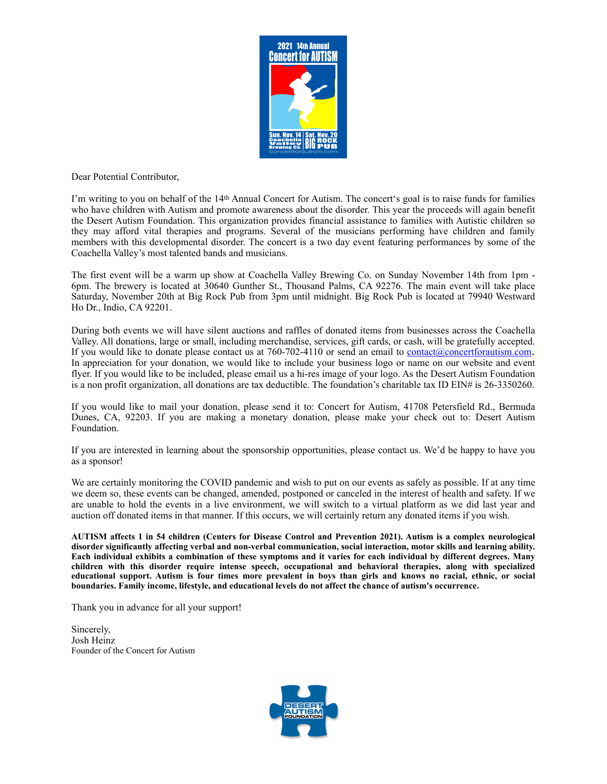

Dear Potential Contributor,

I'm writing to you on behalf of the 14<sup>th</sup> Annual Concert for Autism. The concert's goal is to raise funds for families who have children with Autism and promote awareness about the disorder. This year the proceeds will again benefit the Desert Autism Foundation. This organization provides financial assistance to families with Autistic children so they may afford vital therapies and programs. Several of the musicians performing have children and family members with this developmental disorder. The concert is a two day event featuring performances by some of the Coachella Valley's most talented bands and musicians.

The first event will be a warm up show at Coachella Valley Brewing Co. on Sunday November 14th from 1pm - 6pm. The brewery is located at 30640 Gunther St., Thousand Palms, CA 92276. The main event will take place Saturday, November 20th at Big Rock Pub from 3pm until midnight. Big Rock Pub is located at 79940 Westward Ho Dr., Indio, CA 92201.

During both events we will have silent auctions and raffles of donated items from businesses across the Coachella Valley. All donations, large or small, including merchandise, services, gift cards, or cash, will be gratefully accepted. If you would like to donate please contact us at 760-702-4110 or send an email to [contact@concertforautism.com](mailto:contact@concertforautism.com). In appreciation for your donation, we would like to include your business logo or name on our website and event flyer. If you would like to be included, please email us a hi-res image of your logo. As the Desert Autism Foundation is a non profit organization, all donations are tax deductible. The foundation's charitable tax ID EIN# is 26-3350260.

If you would like to mail your donation, please send it to: Concert for Autism, 41708 Petersfield Rd., Bermuda Dunes, CA, 92203. If you are making a monetary donation, please make your check out to: Desert Autism Foundation.

If you are interested in learning about the sponsorship opportunities, please contact us. We'd be happy to have you as a sponsor!

We are certainly monitoring the COVID pandemic and wish to put on our events as safely as possible. If at any time we deem so, these events can be changed, amended, postponed or canceled in the interest of health and safety. If we are unable to hold the events in a live environment, we will switch to a virtual platform as we did last year and auction off donated items in that manner. If this occurs, we will certainly return any donated items if you wish.

**AUTISM affects 1 in 54 children (Centers for Disease Control and Prevention 2021). Autism is a complex neurological disorder significantly affecting verbal and non-verbal communication, social interaction, motor skills and learning ability. Each individual exhibits a combination of these symptoms and it varies for each individual by different degrees. Many children with this disorder require intense speech, occupational and behavioral therapies, along with specialized educational support. Autism is four times more prevalent in boys than girls and knows no racial, ethnic, or social boundaries. Family income, lifestyle, and educational levels do not affect the chance of autism's occurrence.** 

Thank you in advance for all your support!

Sincerely, Josh Heinz Founder of the Concert for Autism